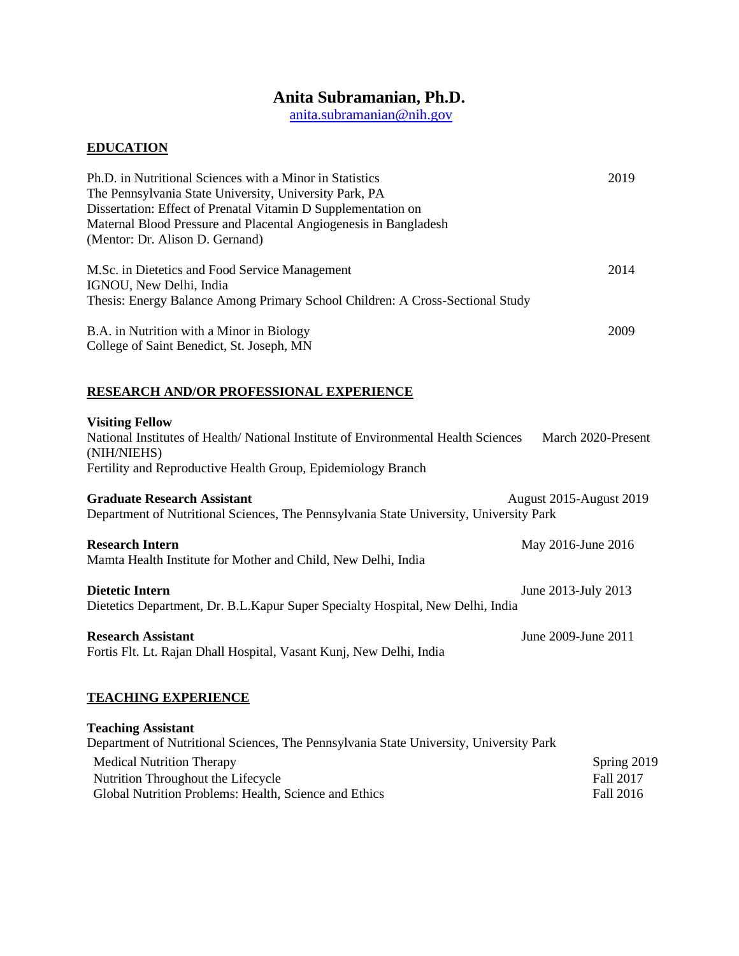# **Anita Subramanian, Ph.D.**

[anita.subramanian@nih.gov](mailto:anita.subramanian@nih.gov)

# **EDUCATION**

| Ph.D. in Nutritional Sciences with a Minor in Statistics                               | 2019 |
|----------------------------------------------------------------------------------------|------|
| The Pennsylvania State University, University Park, PA                                 |      |
| Dissertation: Effect of Prenatal Vitamin D Supplementation on                          |      |
| Maternal Blood Pressure and Placental Angiogenesis in Bangladesh                       |      |
| (Mentor: Dr. Alison D. Gernand)                                                        |      |
| M.Sc. in Dietetics and Food Service Management                                         | 2014 |
| IGNOU, New Delhi, India                                                                |      |
| Thesis: Energy Balance Among Primary School Children: A Cross-Sectional Study          |      |
| B.A. in Nutrition with a Minor in Biology<br>College of Saint Benedict, St. Joseph, MN | 2009 |
|                                                                                        |      |

# **RESEARCH AND/OR PROFESSIONAL EXPERIENCE**

# **Visiting Fellow**

| National Institutes of Health/National Institute of Environmental Health Sciences<br>(NIH/NIEHS)                             | March 2020-Present             |  |
|------------------------------------------------------------------------------------------------------------------------------|--------------------------------|--|
| Fertility and Reproductive Health Group, Epidemiology Branch                                                                 |                                |  |
| <b>Graduate Research Assistant</b><br>Department of Nutritional Sciences, The Pennsylvania State University, University Park | <b>August 2015-August 2019</b> |  |
| <b>Research Intern</b><br>Mamta Health Institute for Mother and Child, New Delhi, India                                      | May 2016-June 2016             |  |
| Dietetic Intern<br>Dietetics Department, Dr. B.L. Kapur Super Specialty Hospital, New Delhi, India                           | June 2013-July 2013            |  |
| <b>Research Assistant</b><br>Fortis Flt. Lt. Rajan Dhall Hospital, Vasant Kunj, New Delhi, India                             | June 2009-June 2011            |  |
| <b>TEACHING EXPERIENCE</b>                                                                                                   |                                |  |
| <b>Teaching Assistant</b>                                                                                                    |                                |  |
| Department of Nutritional Sciences, The Pennsylvania State University, University Park                                       |                                |  |
| <b>Medical Nutrition Therapy</b>                                                                                             | Spring 2019                    |  |
| Nutrition Throughout the Lifecycle                                                                                           | Fall 2017                      |  |

| <b>Medical Nutrition Therapy</b>                      | Spring 20        |
|-------------------------------------------------------|------------------|
| Nutrition Throughout the Lifecycle                    | <b>Fall 2017</b> |
| Global Nutrition Problems: Health, Science and Ethics | Fall 2016        |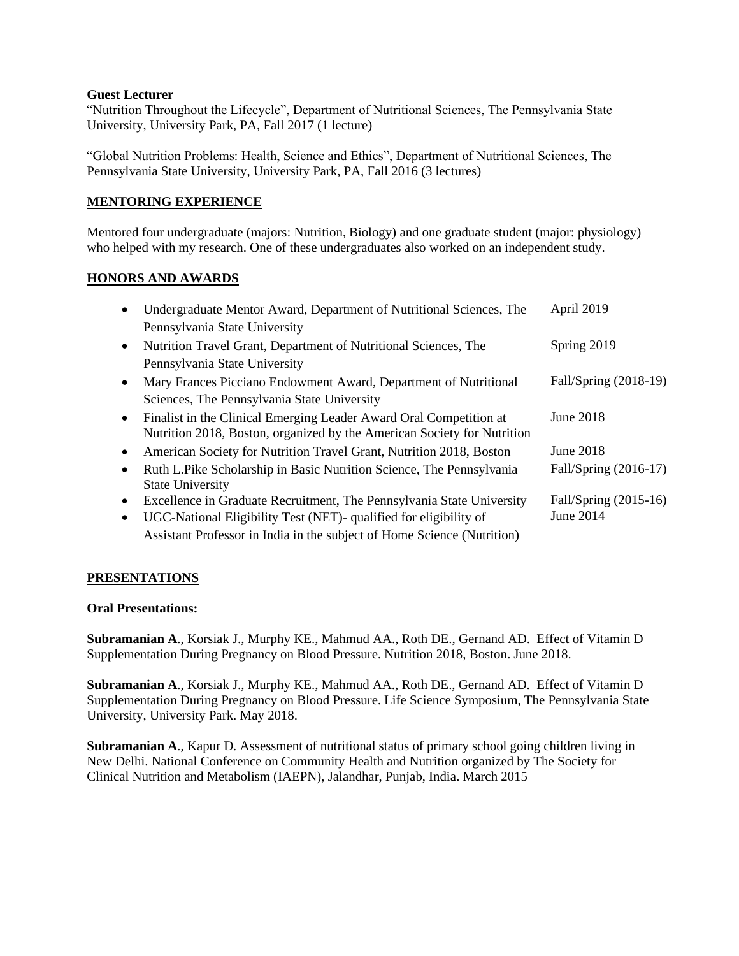### **Guest Lecturer**

"Nutrition Throughout the Lifecycle", Department of Nutritional Sciences, The Pennsylvania State University, University Park, PA, Fall 2017 (1 lecture)

"Global Nutrition Problems: Health, Science and Ethics", Department of Nutritional Sciences, The Pennsylvania State University, University Park, PA, Fall 2016 (3 lectures)

# **MENTORING EXPERIENCE**

Mentored four undergraduate (majors: Nutrition, Biology) and one graduate student (major: physiology) who helped with my research. One of these undergraduates also worked on an independent study.

# **HONORS AND AWARDS**

|           | Undergraduate Mentor Award, Department of Nutritional Sciences, The     | April 2019            |
|-----------|-------------------------------------------------------------------------|-----------------------|
|           | Pennsylvania State University                                           |                       |
| $\bullet$ | Nutrition Travel Grant, Department of Nutritional Sciences, The         | Spring 2019           |
|           | Pennsylvania State University                                           |                       |
|           | Mary Frances Picciano Endowment Award, Department of Nutritional        | Fall/Spring (2018-19) |
|           | Sciences, The Pennsylvania State University                             |                       |
| $\bullet$ | Finalist in the Clinical Emerging Leader Award Oral Competition at      | June 2018             |
|           | Nutrition 2018, Boston, organized by the American Society for Nutrition |                       |
|           | American Society for Nutrition Travel Grant, Nutrition 2018, Boston     | June 2018             |
| $\bullet$ | Ruth L.Pike Scholarship in Basic Nutrition Science, The Pennsylvania    | Fall/Spring (2016-17) |
|           | <b>State University</b>                                                 |                       |
| $\bullet$ | Excellence in Graduate Recruitment, The Pennsylvania State University   | Fall/Spring (2015-16) |
|           | UGC-National Eligibility Test (NET)- qualified for eligibility of       | June 2014             |
|           | Assistant Professor in India in the subject of Home Science (Nutrition) |                       |

## **PRESENTATIONS**

## **Oral Presentations:**

**Subramanian A**., Korsiak J., Murphy KE., Mahmud AA., Roth DE., Gernand AD. Effect of Vitamin D Supplementation During Pregnancy on Blood Pressure. Nutrition 2018, Boston. June 2018.

**Subramanian A**., Korsiak J., Murphy KE., Mahmud AA., Roth DE., Gernand AD. Effect of Vitamin D Supplementation During Pregnancy on Blood Pressure. Life Science Symposium, The Pennsylvania State University, University Park. May 2018.

**Subramanian A**., Kapur D. Assessment of nutritional status of primary school going children living in New Delhi. National Conference on Community Health and Nutrition organized by The Society for Clinical Nutrition and Metabolism (IAEPN), Jalandhar, Punjab, India. March 2015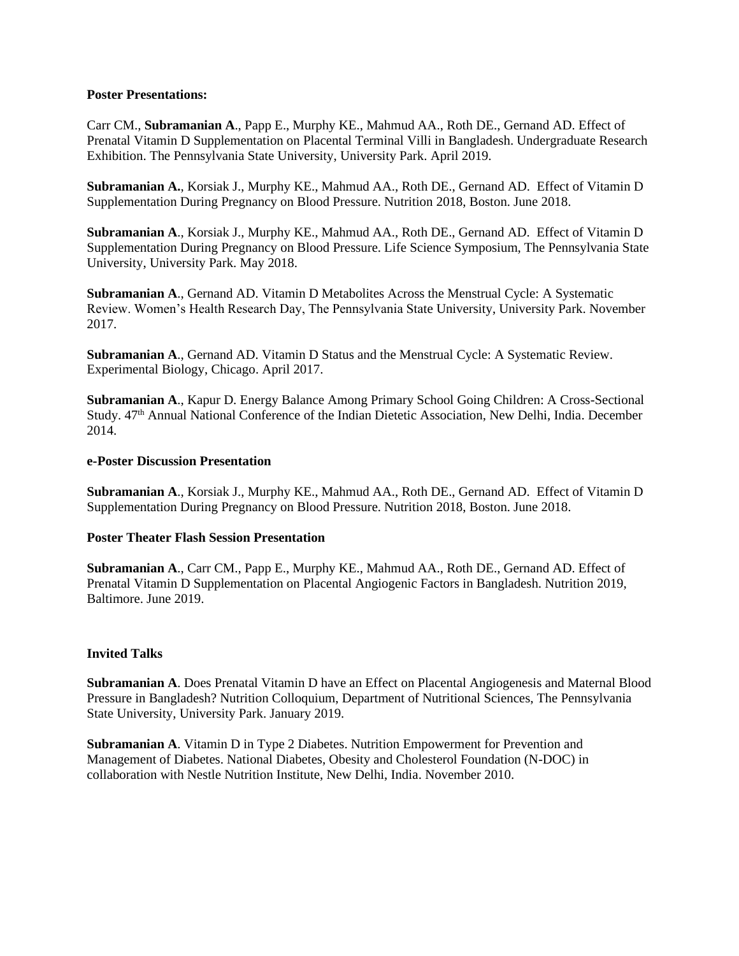### **Poster Presentations:**

Carr CM., **Subramanian A**., Papp E., Murphy KE., Mahmud AA., Roth DE., Gernand AD. Effect of Prenatal Vitamin D Supplementation on Placental Terminal Villi in Bangladesh. Undergraduate Research Exhibition. The Pennsylvania State University, University Park. April 2019.

**Subramanian A.**, Korsiak J., Murphy KE., Mahmud AA., Roth DE., Gernand AD. Effect of Vitamin D Supplementation During Pregnancy on Blood Pressure. Nutrition 2018, Boston. June 2018.

**Subramanian A**., Korsiak J., Murphy KE., Mahmud AA., Roth DE., Gernand AD. Effect of Vitamin D Supplementation During Pregnancy on Blood Pressure. Life Science Symposium, The Pennsylvania State University, University Park. May 2018.

**Subramanian A**., Gernand AD. Vitamin D Metabolites Across the Menstrual Cycle: A Systematic Review. Women's Health Research Day, The Pennsylvania State University, University Park. November 2017.

**Subramanian A**., Gernand AD. Vitamin D Status and the Menstrual Cycle: A Systematic Review. Experimental Biology, Chicago. April 2017.

**Subramanian A**., Kapur D. Energy Balance Among Primary School Going Children: A Cross-Sectional Study. 47th Annual National Conference of the Indian Dietetic Association, New Delhi, India. December 2014.

### **e-Poster Discussion Presentation**

**Subramanian A**., Korsiak J., Murphy KE., Mahmud AA., Roth DE., Gernand AD. Effect of Vitamin D Supplementation During Pregnancy on Blood Pressure. Nutrition 2018, Boston. June 2018.

#### **Poster Theater Flash Session Presentation**

**Subramanian A**., Carr CM., Papp E., Murphy KE., Mahmud AA., Roth DE., Gernand AD. Effect of Prenatal Vitamin D Supplementation on Placental Angiogenic Factors in Bangladesh. Nutrition 2019, Baltimore. June 2019.

#### **Invited Talks**

**Subramanian A**. Does Prenatal Vitamin D have an Effect on Placental Angiogenesis and Maternal Blood Pressure in Bangladesh? Nutrition Colloquium, Department of Nutritional Sciences, The Pennsylvania State University, University Park. January 2019.

**Subramanian A**. Vitamin D in Type 2 Diabetes. Nutrition Empowerment for Prevention and Management of Diabetes. National Diabetes, Obesity and Cholesterol Foundation (N-DOC) in collaboration with Nestle Nutrition Institute, New Delhi, India. November 2010.